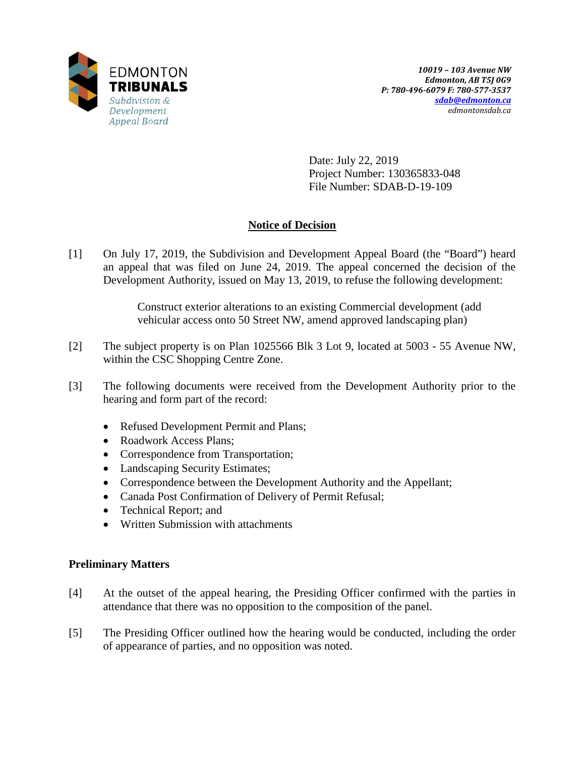

Date: July 22, 2019 Project Number: 130365833-048 File Number: SDAB-D-19-109

# **Notice of Decision**

[1] On July 17, 2019, the Subdivision and Development Appeal Board (the "Board") heard an appeal that was filed on June 24, 2019. The appeal concerned the decision of the Development Authority, issued on May 13, 2019, to refuse the following development:

> Construct exterior alterations to an existing Commercial development (add vehicular access onto 50 Street NW, amend approved landscaping plan)

- [2] The subject property is on Plan 1025566 Blk 3 Lot 9, located at 5003 55 Avenue NW, within the CSC Shopping Centre Zone.
- [3] The following documents were received from the Development Authority prior to the hearing and form part of the record:
	- Refused Development Permit and Plans;
	- Roadwork Access Plans;
	- Correspondence from Transportation;
	- Landscaping Security Estimates;
	- Correspondence between the Development Authority and the Appellant;
	- Canada Post Confirmation of Delivery of Permit Refusal;
	- Technical Report; and
	- Written Submission with attachments

## **Preliminary Matters**

- [4] At the outset of the appeal hearing, the Presiding Officer confirmed with the parties in attendance that there was no opposition to the composition of the panel.
- [5] The Presiding Officer outlined how the hearing would be conducted, including the order of appearance of parties, and no opposition was noted.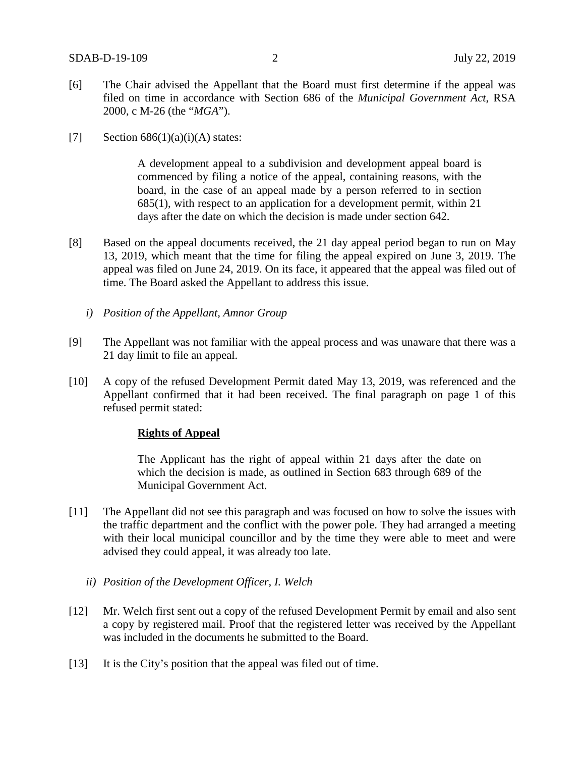- [6] The Chair advised the Appellant that the Board must first determine if the appeal was filed on time in accordance with Section 686 of the *Municipal Government Act*, RSA 2000, c M-26 (the "*MGA*").
- [7] Section  $686(1)(a)(i)(A)$  states:

A development appeal to a subdivision and development appeal board is commenced by filing a notice of the appeal, containing reasons, with the board, in the case of an appeal made by a person referred to in section 685(1), with respect to an application for a development permit, within 21 days after the date on which the decision is made under section 642.

- [8] Based on the appeal documents received, the 21 day appeal period began to run on May 13, 2019, which meant that the time for filing the appeal expired on June 3, 2019. The appeal was filed on June 24, 2019. On its face, it appeared that the appeal was filed out of time. The Board asked the Appellant to address this issue.
	- *i) Position of the Appellant, Amnor Group*
- [9] The Appellant was not familiar with the appeal process and was unaware that there was a 21 day limit to file an appeal.
- [10] A copy of the refused Development Permit dated May 13, 2019, was referenced and the Appellant confirmed that it had been received. The final paragraph on page 1 of this refused permit stated:

### **Rights of Appeal**

The Applicant has the right of appeal within 21 days after the date on which the decision is made, as outlined in Section 683 through 689 of the Municipal Government Act.

- [11] The Appellant did not see this paragraph and was focused on how to solve the issues with the traffic department and the conflict with the power pole. They had arranged a meeting with their local municipal councillor and by the time they were able to meet and were advised they could appeal, it was already too late.
	- *ii) Position of the Development Officer, I. Welch*
- [12] Mr. Welch first sent out a copy of the refused Development Permit by email and also sent a copy by registered mail. Proof that the registered letter was received by the Appellant was included in the documents he submitted to the Board.
- [13] It is the City's position that the appeal was filed out of time.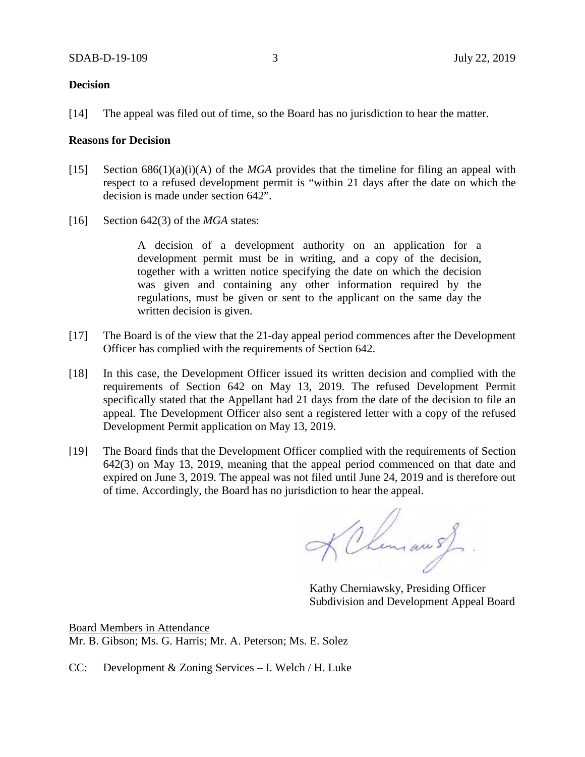#### **Decision**

[14] The appeal was filed out of time, so the Board has no jurisdiction to hear the matter.

#### **Reasons for Decision**

- [15] Section 686(1)(a)(i)(A) of the *MGA* provides that the timeline for filing an appeal with respect to a refused development permit is "within 21 days after the date on which the decision is made under section 642".
- [16] Section 642(3) of the *MGA* states:

A decision of a development authority on an application for a development permit must be in writing, and a copy of the decision, together with a written notice specifying the date on which the decision was given and containing any other information required by the regulations, must be given or sent to the applicant on the same day the written decision is given.

- [17] The Board is of the view that the 21-day appeal period commences after the Development Officer has complied with the requirements of Section 642.
- [18] In this case, the Development Officer issued its written decision and complied with the requirements of Section 642 on May 13, 2019. The refused Development Permit specifically stated that the Appellant had 21 days from the date of the decision to file an appeal. The Development Officer also sent a registered letter with a copy of the refused Development Permit application on May 13, 2019.
- [19] The Board finds that the Development Officer complied with the requirements of Section 642(3) on May 13, 2019, meaning that the appeal period commenced on that date and expired on June 3, 2019. The appeal was not filed until June 24, 2019 and is therefore out of time. Accordingly, the Board has no jurisdiction to hear the appeal.

KChimau sf

Kathy Cherniawsky, Presiding Officer Subdivision and Development Appeal Board

Board Members in Attendance Mr. B. Gibson; Ms. G. Harris; Mr. A. Peterson; Ms. E. Solez

CC: Development & Zoning Services – I. Welch / H. Luke